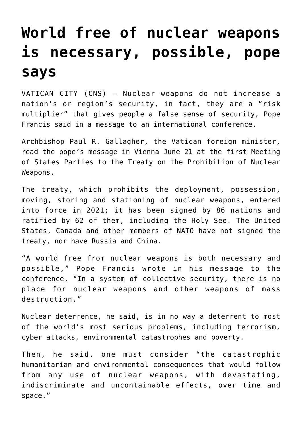## **[World free of nuclear weapons](https://www.osvnews.com/2022/06/22/world-free-of-nuclear-weapons-is-necessary-possible-pope-says/) [is necessary, possible, pope](https://www.osvnews.com/2022/06/22/world-free-of-nuclear-weapons-is-necessary-possible-pope-says/) [says](https://www.osvnews.com/2022/06/22/world-free-of-nuclear-weapons-is-necessary-possible-pope-says/)**

VATICAN CITY (CNS) — Nuclear weapons do not increase a nation's or region's security, in fact, they are a "risk multiplier" that gives people a false sense of security, Pope Francis said in a message to an international conference.

Archbishop Paul R. Gallagher, the Vatican foreign minister, read the pope's message in Vienna June 21 at the first Meeting of States Parties to the Treaty on the Prohibition of Nuclear Weapons.

The treaty, which prohibits the deployment, possession, moving, storing and stationing of nuclear weapons, entered into force in 2021; it has been signed by 86 nations and ratified by 62 of them, including the Holy See. The United States, Canada and other members of NATO have not signed the treaty, nor have Russia and China.

"A world free from nuclear weapons is both necessary and possible," Pope Francis wrote in his message to the conference. "In a system of collective security, there is no place for nuclear weapons and other weapons of mass destruction."

Nuclear deterrence, he said, is in no way a deterrent to most of the world's most serious problems, including terrorism, cyber attacks, environmental catastrophes and poverty.

Then, he said, one must consider "the catastrophic humanitarian and environmental consequences that would follow from any use of nuclear weapons, with devastating, indiscriminate and uncontainable effects, over time and space."